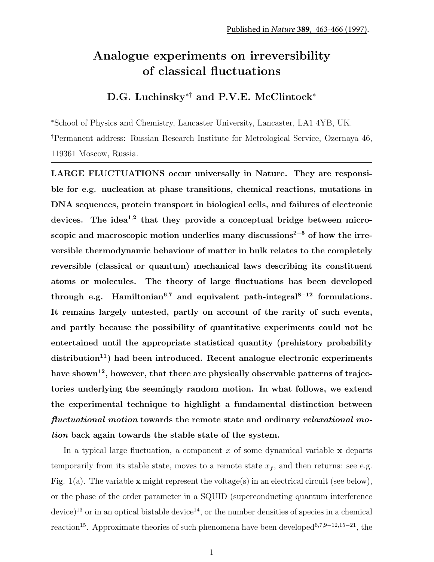## Analogue experiments on irreversibility of classical fluctuations

## D.G. Luchinsky<sup>∗†</sup> and P.V.E. McClintock<sup>∗</sup>

<sup>∗</sup>School of Physics and Chemistry, Lancaster University, Lancaster, LA1 4YB, UK. †Permanent address: Russian Research Institute for Metrological Service, Ozernaya 46, 119361 Moscow, Russia.

LARGE FLUCTUATIONS occur universally in Nature. They are responsible for e.g. nucleation at phase transitions, chemical reactions, mutations in DNA sequences, protein transport in biological cells, and failures of electronic devices. The idea<sup>1,2</sup> that they provide a conceptual bridge between microscopic and macroscopic motion underlies many discussions<sup>2−5</sup> of how the irreversible thermodynamic behaviour of matter in bulk relates to the completely reversible (classical or quantum) mechanical laws describing its constituent atoms or molecules. The theory of large fluctuations has been developed through e.g. Hamiltonian<sup>6,7</sup> and equivalent path-integral<sup>8-12</sup> formulations. It remains largely untested, partly on account of the rarity of such events, and partly because the possibility of quantitative experiments could not be entertained until the appropriate statistical quantity (prehistory probability distribution<sup>11</sup>) had been introduced. Recent analogue electronic experiments have shown<sup>12</sup>, however, that there are physically observable patterns of trajectories underlying the seemingly random motion. In what follows, we extend the experimental technique to highlight a fundamental distinction between fluctuational motion towards the remote state and ordinary relaxational motion back again towards the stable state of the system.

In a typical large fluctuation, a component  $x$  of some dynamical variable  $x$  departs temporarily from its stable state, moves to a remote state  $x_f$ , and then returns: see e.g. Fig.  $1(a)$ . The variable **x** might represent the voltage(s) in an electrical circuit (see below), or the phase of the order parameter in a SQUID (superconducting quantum interference  $device$ <sup>13</sup> or in an optical bistable device<sup>14</sup>, or the number densities of species in a chemical reaction<sup>15</sup>. Approximate theories of such phenomena have been developed<sup>6,7,9–12,15–21</sup>, the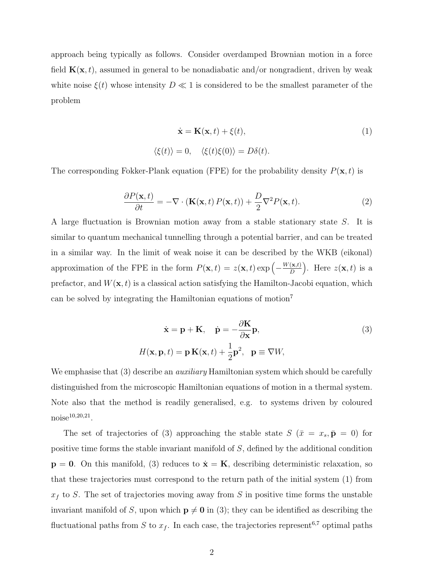approach being typically as follows. Consider overdamped Brownian motion in a force field  $K(x, t)$ , assumed in general to be nonadiabatic and/or nongradient, driven by weak white noise  $\xi(t)$  whose intensity  $D \ll 1$  is considered to be the smallest parameter of the problem

$$
\dot{\mathbf{x}} = \mathbf{K}(\mathbf{x}, t) + \xi(t),
$$
  

$$
\langle \xi(t) \rangle = 0, \quad \langle \xi(t) \xi(0) \rangle = D\delta(t).
$$
 (1)

The corresponding Fokker-Plank equation (FPE) for the probability density  $P(\mathbf{x}, t)$  is

$$
\frac{\partial P(\mathbf{x},t)}{\partial t} = -\nabla \cdot (\mathbf{K}(\mathbf{x},t) P(\mathbf{x},t)) + \frac{D}{2} \nabla^2 P(\mathbf{x},t). \tag{2}
$$

A large fluctuation is Brownian motion away from a stable stationary state S. It is similar to quantum mechanical tunnelling through a potential barrier, and can be treated in a similar way. In the limit of weak noise it can be described by the WKB (eikonal) approximation of the FPE in the form  $P(\mathbf{x},t) = z(\mathbf{x},t) \exp\left(-\frac{W(\mathbf{x},t)}{D}\right)$ D ). Here  $z(\mathbf{x}, t)$  is a prefactor, and  $W(\mathbf{x}, t)$  is a classical action satisfying the Hamilton-Jacobi equation, which can be solved by integrating the Hamiltonian equations of motion<sup>7</sup>

$$
\dot{\mathbf{x}} = \mathbf{p} + \mathbf{K}, \quad \dot{\mathbf{p}} = -\frac{\partial \mathbf{K}}{\partial \mathbf{x}} \mathbf{p},
$$
  

$$
H(\mathbf{x}, \mathbf{p}, t) = \mathbf{p} \mathbf{K}(\mathbf{x}, t) + \frac{1}{2} \mathbf{p}^2, \quad \mathbf{p} \equiv \nabla W,
$$
 (3)

We emphasise that (3) describe an *auxiliary* Hamiltonian system which should be carefully distinguished from the microscopic Hamiltonian equations of motion in a thermal system. Note also that the method is readily generalised, e.g. to systems driven by coloured  $\text{noise}^{10,20,21}$ .

The set of trajectories of (3) approaching the stable state  $S(\bar{x} = x_s, \bar{p} = 0)$  for positive time forms the stable invariant manifold of S, defined by the additional condition  $p = 0$ . On this manifold, (3) reduces to  $\dot{x} = K$ , describing deterministic relaxation, so that these trajectories must correspond to the return path of the initial system (1) from  $x_f$  to S. The set of trajectories moving away from S in positive time forms the unstable invariant manifold of S, upon which  $p \neq 0$  in (3); they can be identified as describing the fluctuational paths from S to  $x_f$ . In each case, the trajectories represent<sup>6,7</sup> optimal paths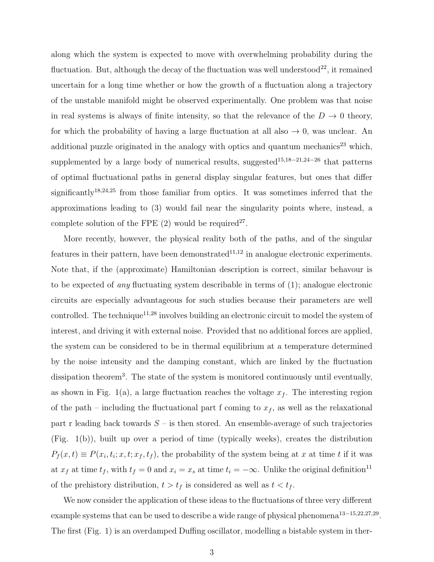along which the system is expected to move with overwhelming probability during the fluctuation. But, although the decay of the fluctuation was well understood<sup>22</sup>, it remained uncertain for a long time whether or how the growth of a fluctuation along a trajectory of the unstable manifold might be observed experimentally. One problem was that noise in real systems is always of finite intensity, so that the relevance of the  $D \to 0$  theory, for which the probability of having a large fluctuation at all also  $\rightarrow 0$ , was unclear. An additional puzzle originated in the analogy with optics and quantum mechanics<sup>23</sup> which, supplemented by a large body of numerical results, suggested<sup>15,18−21,24−26</sup> that patterns of optimal fluctuational paths in general display singular features, but ones that differ significantly<sup>18,24,25</sup> from those familiar from optics. It was sometimes inferred that the approximations leading to (3) would fail near the singularity points where, instead, a complete solution of the FPE  $(2)$  would be required<sup>27</sup>.

More recently, however, the physical reality both of the paths, and of the singular features in their pattern, have been demonstrated $11,12$  in analogue electronic experiments. Note that, if the (approximate) Hamiltonian description is correct, similar behavour is to be expected of *any* fluctuating system describable in terms of  $(1)$ ; analogue electronic circuits are especially advantageous for such studies because their parameters are well controlled. The technique<sup>11,28</sup> involves building an electronic circuit to model the system of interest, and driving it with external noise. Provided that no additional forces are applied, the system can be considered to be in thermal equilibrium at a temperature determined by the noise intensity and the damping constant, which are linked by the fluctuation dissipation theorem<sup>3</sup>. The state of the system is monitored continuously until eventually, as shown in Fig. 1(a), a large fluctuation reaches the voltage  $x_f$ . The interesting region of the path – including the fluctuational part f coming to  $x_f$ , as well as the relaxational part r leading back towards  $S$  – is then stored. An ensemble-average of such trajectories (Fig. 1(b)), built up over a period of time (typically weeks), creates the distribution  $P_f(x,t) \equiv P(x_i,t_i;x,t;x_f,t_f)$ , the probability of the system being at x at time t if it was at  $x_f$  at time  $t_f$ , with  $t_f = 0$  and  $x_i = x_s$  at time  $t_i = -\infty$ . Unlike the original definition<sup>11</sup> of the prehistory distribution,  $t > t_f$  is considered as well as  $t < t_f$ .

We now consider the application of these ideas to the fluctuations of three very different example systems that can be used to describe a wide range of physical phenomena<sup>13–15,22,27,29</sup>. The first (Fig. 1) is an overdamped Duffing oscillator, modelling a bistable system in ther-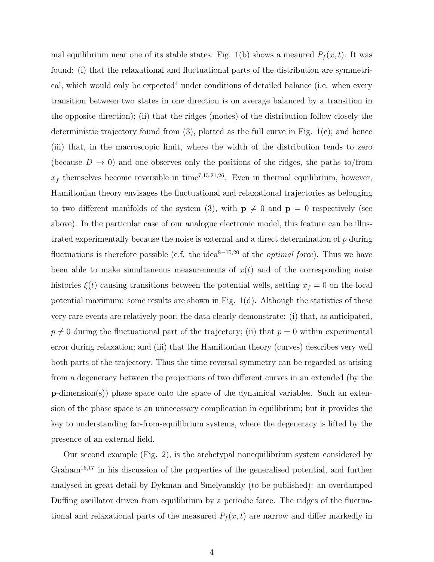mal equilibrium near one of its stable states. Fig. 1(b) shows a meaured  $P_f(x, t)$ . It was found: (i) that the relaxational and fluctuational parts of the distribution are symmetrical, which would only be expected<sup>4</sup> under conditions of detailed balance (i.e. when every transition between two states in one direction is on average balanced by a transition in the opposite direction); (ii) that the ridges (modes) of the distribution follow closely the deterministic trajectory found from (3), plotted as the full curve in Fig. 1(c); and hence (iii) that, in the macroscopic limit, where the width of the distribution tends to zero (because  $D \to 0$ ) and one observes only the positions of the ridges, the paths to/from  $x_f$  themselves become reversible in time<sup>7,15,21,26</sup>. Even in thermal equilibrium, however, Hamiltonian theory envisages the fluctuational and relaxational trajectories as belonging to two different manifolds of the system (3), with  $p \neq 0$  and  $p = 0$  respectively (see above). In the particular case of our analogue electronic model, this feature can be illustrated experimentally because the noise is external and a direct determination of  $p$  during fluctuations is therefore possible (c.f. the idea<sup>8−10,20</sup> of the *optimal force*). Thus we have been able to make simultaneous measurements of  $x(t)$  and of the corresponding noise histories  $\xi(t)$  causing transitions between the potential wells, setting  $x_f = 0$  on the local potential maximum: some results are shown in Fig. 1(d). Although the statistics of these very rare events are relatively poor, the data clearly demonstrate: (i) that, as anticipated,  $p \neq 0$  during the fluctuational part of the trajectory; (ii) that  $p = 0$  within experimental error during relaxation; and (iii) that the Hamiltonian theory (curves) describes very well both parts of the trajectory. Thus the time reversal symmetry can be regarded as arising from a degeneracy between the projections of two different curves in an extended (by the  $\mathbf{p}\text{-dimension(s)}$  phase space onto the space of the dynamical variables. Such an extension of the phase space is an unnecessary complication in equilibrium; but it provides the key to understanding far-from-equilibrium systems, where the degeneracy is lifted by the presence of an external field.

Our second example (Fig. 2), is the archetypal nonequilibrium system considered by Graham<sup>16,17</sup> in his discussion of the properties of the generalised potential, and further analysed in great detail by Dykman and Smelyanskiy (to be published): an overdamped Duffing oscillator driven from equilibrium by a periodic force. The ridges of the fluctuational and relaxational parts of the measured  $P_f(x,t)$  are narrow and differ markedly in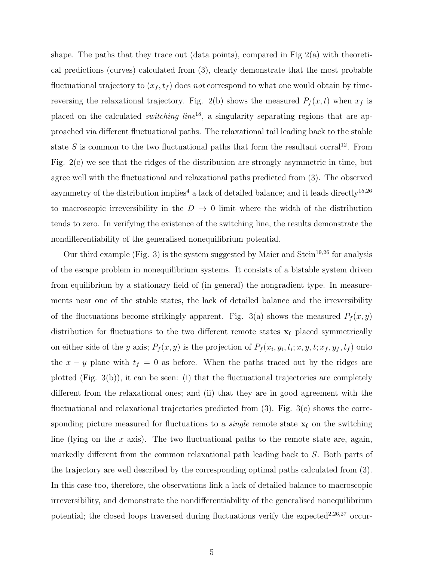shape. The paths that they trace out (data points), compared in Fig  $2(a)$  with theoretical predictions (curves) calculated from (3), clearly demonstrate that the most probable fluctuational trajectory to  $(x_f, t_f)$  does not correspond to what one would obtain by timereversing the relaxational trajectory. Fig. 2(b) shows the measured  $P_f(x, t)$  when  $x_f$  is placed on the calculated *switching line*<sup>18</sup>, a singularity separating regions that are approached via different fluctuational paths. The relaxational tail leading back to the stable state S is common to the two fluctuational paths that form the resultant corral<sup>12</sup>. From Fig. 2(c) we see that the ridges of the distribution are strongly asymmetric in time, but agree well with the fluctuational and relaxational paths predicted from (3). The observed asymmetry of the distribution implies<sup>4</sup> a lack of detailed balance; and it leads directly<sup>15,26</sup> to macroscopic irreversibility in the  $D \rightarrow 0$  limit where the width of the distribution tends to zero. In verifying the existence of the switching line, the results demonstrate the nondifferentiability of the generalised nonequilibrium potential.

Our third example (Fig. 3) is the system suggested by Maier and Stein<sup>19,26</sup> for analysis of the escape problem in nonequilibrium systems. It consists of a bistable system driven from equilibrium by a stationary field of (in general) the nongradient type. In measurements near one of the stable states, the lack of detailed balance and the irreversibility of the fluctuations become strikingly apparent. Fig. 3(a) shows the measured  $P_f(x, y)$ distribution for fluctuations to the two different remote states  $x_f$  placed symmetrically on either side of the y axis;  $P_f(x, y)$  is the projection of  $P_f(x_i, y_i, t_i; x, y, t; x_f, y_f, t_f)$  onto the  $x - y$  plane with  $t_f = 0$  as before. When the paths traced out by the ridges are plotted (Fig. 3(b)), it can be seen: (i) that the fluctuational trajectories are completely different from the relaxational ones; and (ii) that they are in good agreement with the fluctuational and relaxational trajectories predicted from  $(3)$ . Fig.  $3(c)$  shows the corresponding picture measured for fluctuations to a *single* remote state  $x_f$  on the switching line (lying on the  $x$  axis). The two fluctuational paths to the remote state are, again, markedly different from the common relaxational path leading back to S. Both parts of the trajectory are well described by the corresponding optimal paths calculated from (3). In this case too, therefore, the observations link a lack of detailed balance to macroscopic irreversibility, and demonstrate the nondifferentiability of the generalised nonequilibrium potential; the closed loops traversed during fluctuations verify the expected<sup>2,26,27</sup> occur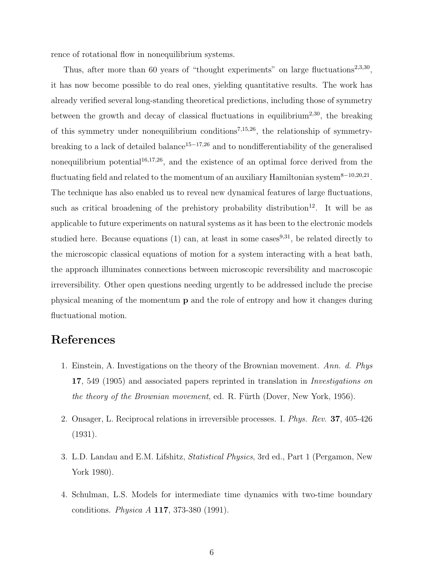rence of rotational flow in nonequilibrium systems.

Thus, after more than 60 years of "thought experiments" on large fluctuations<sup>2,3,30</sup>, it has now become possible to do real ones, yielding quantitative results. The work has already verified several long-standing theoretical predictions, including those of symmetry between the growth and decay of classical fluctuations in equilibrium<sup>2,30</sup>, the breaking of this symmetry under nonequilibrium conditions<sup>7,15,26</sup>, the relationship of symmetrybreaking to a lack of detailed balance<sup>15−17,26</sup> and to nondifferentiability of the generalised nonequilibrium potential<sup>16,17,26</sup>, and the existence of an optimal force derived from the fluctuating field and related to the momentum of an auxiliary Hamiltonian system<sup>8−10,20,21</sup>. The technique has also enabled us to reveal new dynamical features of large fluctuations, such as critical broadening of the prehistory probability distribution<sup>12</sup>. It will be as applicable to future experiments on natural systems as it has been to the electronic models studied here. Because equations (1) can, at least in some cases  $9,31$ , be related directly to the microscopic classical equations of motion for a system interacting with a heat bath, the approach illuminates connections between microscopic reversibility and macroscopic irreversibility. Other open questions needing urgently to be addressed include the precise physical meaning of the momentum p and the role of entropy and how it changes during fluctuational motion.

## References

- 1. Einstein, A. Investigations on the theory of the Brownian movement. Ann. d. Phys 17, 549 (1905) and associated papers reprinted in translation in *Investigations on* the theory of the Brownian movement, ed. R. Fürth (Dover, New York, 1956).
- 2. Onsager, L. Reciprocal relations in irreversible processes. I. Phys. Rev. 37, 405-426 (1931).
- 3. L.D. Landau and E.M. Lifshitz, Statistical Physics, 3rd ed., Part 1 (Pergamon, New York 1980).
- 4. Schulman, L.S. Models for intermediate time dynamics with two-time boundary conditions. Physica A 117, 373-380 (1991).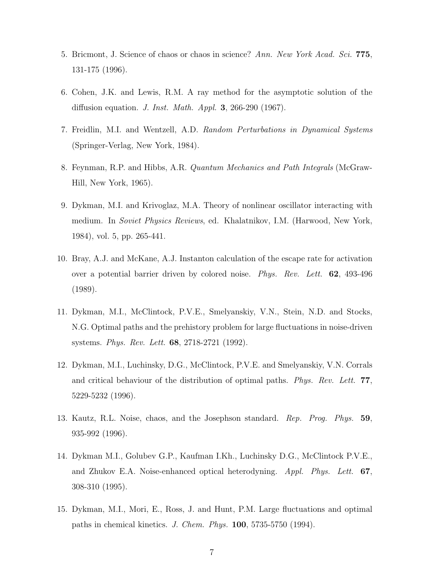- 5. Bricmont, J. Science of chaos or chaos in science? Ann. New York Acad. Sci. 775, 131-175 (1996).
- 6. Cohen, J.K. and Lewis, R.M. A ray method for the asymptotic solution of the diffusion equation. J. Inst. Math. Appl. 3, 266-290 (1967).
- 7. Freidlin, M.I. and Wentzell, A.D. Random Perturbations in Dynamical Systems (Springer-Verlag, New York, 1984).
- 8. Feynman, R.P. and Hibbs, A.R. Quantum Mechanics and Path Integrals (McGraw-Hill, New York, 1965).
- 9. Dykman, M.I. and Krivoglaz, M.A. Theory of nonlinear oscillator interacting with medium. In Soviet Physics Reviews, ed. Khalatnikov, I.M. (Harwood, New York, 1984), vol. 5, pp. 265-441.
- 10. Bray, A.J. and McKane, A.J. Instanton calculation of the escape rate for activation over a potential barrier driven by colored noise. Phys. Rev. Lett. 62, 493-496 (1989).
- 11. Dykman, M.I., McClintock, P.V.E., Smelyanskiy, V.N., Stein, N.D. and Stocks, N.G. Optimal paths and the prehistory problem for large fluctuations in noise-driven systems. Phys. Rev. Lett. 68, 2718-2721 (1992).
- 12. Dykman, M.I., Luchinsky, D.G., McClintock, P.V.E. and Smelyanskiy, V.N. Corrals and critical behaviour of the distribution of optimal paths. Phys. Rev. Lett. 77, 5229-5232 (1996).
- 13. Kautz, R.L. Noise, chaos, and the Josephson standard. Rep. Prog. Phys. 59, 935-992 (1996).
- 14. Dykman M.I., Golubev G.P., Kaufman I.Kh., Luchinsky D.G., McClintock P.V.E., and Zhukov E.A. Noise-enhanced optical heterodyning.  $Appl. Phys. Lett. 67$ , 308-310 (1995).
- 15. Dykman, M.I., Mori, E., Ross, J. and Hunt, P.M. Large fluctuations and optimal paths in chemical kinetics. J. Chem. Phys. 100, 5735-5750 (1994).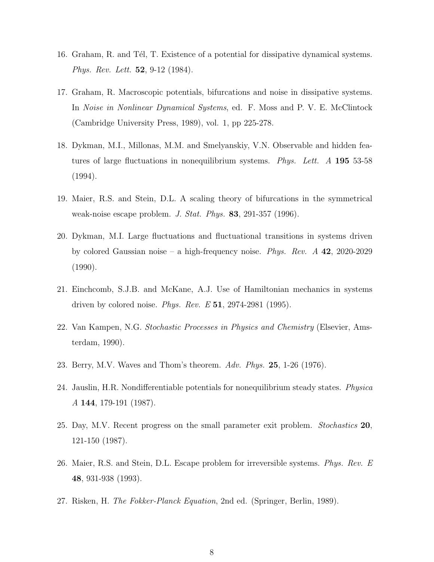- 16. Graham, R. and Tél, T. Existence of a potential for dissipative dynamical systems. Phys. Rev. Lett. **52**, 9-12 (1984).
- 17. Graham, R. Macroscopic potentials, bifurcations and noise in dissipative systems. In Noise in Nonlinear Dynamical Systems, ed. F. Moss and P. V. E. McClintock (Cambridge University Press, 1989), vol. 1, pp 225-278.
- 18. Dykman, M.I., Millonas, M.M. and Smelyanskiy, V.N. Observable and hidden features of large fluctuations in nonequilibrium systems. Phys. Lett. A 195 53-58 (1994).
- 19. Maier, R.S. and Stein, D.L. A scaling theory of bifurcations in the symmetrical weak-noise escape problem. J. Stat. Phys.  $83, 291-357$  (1996).
- 20. Dykman, M.I. Large fluctuations and fluctuational transitions in systems driven by colored Gaussian noise – a high-frequency noise. Phys. Rev.  $A$  42, 2020-2029 (1990).
- 21. Einchcomb, S.J.B. and McKane, A.J. Use of Hamiltonian mechanics in systems driven by colored noise. Phys. Rev. E  $51$ , 2974-2981 (1995).
- 22. Van Kampen, N.G. Stochastic Processes in Physics and Chemistry (Elsevier, Amsterdam, 1990).
- 23. Berry, M.V. Waves and Thom's theorem. Adv. Phys. 25, 1-26 (1976).
- 24. Jauslin, H.R. Nondifferentiable potentials for nonequilibrium steady states. Physica A 144, 179-191 (1987).
- 25. Day, M.V. Recent progress on the small parameter exit problem. Stochastics 20, 121-150 (1987).
- 26. Maier, R.S. and Stein, D.L. Escape problem for irreversible systems. Phys. Rev. E 48, 931-938 (1993).
- 27. Risken, H. The Fokker-Planck Equation, 2nd ed. (Springer, Berlin, 1989).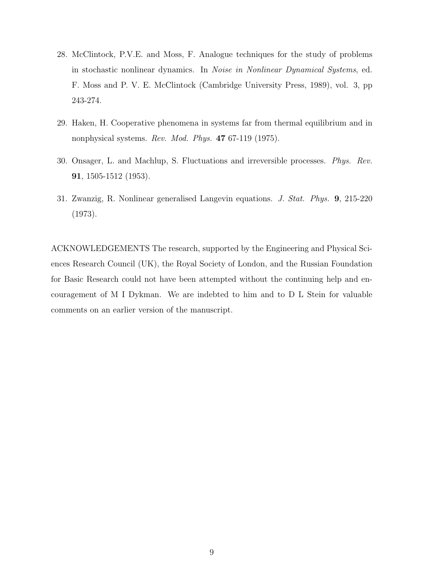- 28. McClintock, P.V.E. and Moss, F. Analogue techniques for the study of problems in stochastic nonlinear dynamics. In Noise in Nonlinear Dynamical Systems, ed. F. Moss and P. V. E. McClintock (Cambridge University Press, 1989), vol. 3, pp 243-274.
- 29. Haken, H. Cooperative phenomena in systems far from thermal equilibrium and in nonphysical systems. Rev. Mod. Phys. 47 67-119 (1975).
- 30. Onsager, L. and Machlup, S. Fluctuations and irreversible processes. Phys. Rev. 91, 1505-1512 (1953).
- 31. Zwanzig, R. Nonlinear generalised Langevin equations. J. Stat. Phys. 9, 215-220 (1973).

ACKNOWLEDGEMENTS The research, supported by the Engineering and Physical Sciences Research Council (UK), the Royal Society of London, and the Russian Foundation for Basic Research could not have been attempted without the continuing help and encouragement of M I Dykman. We are indebted to him and to D L Stein for valuable comments on an earlier version of the manuscript.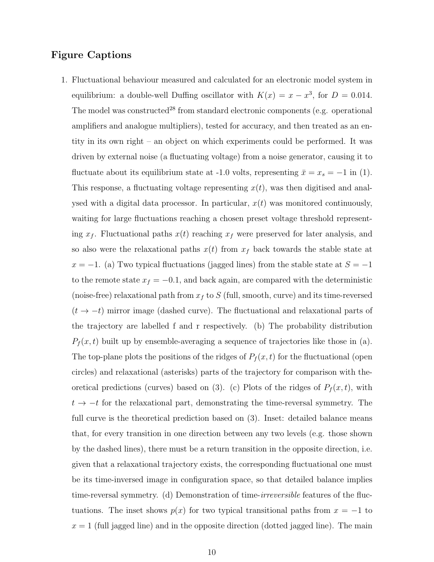## Figure Captions

1. Fluctuational behaviour measured and calculated for an electronic model system in equilibrium: a double-well Duffing oscillator with  $K(x) = x - x^3$ , for  $D = 0.014$ . The model was constructed<sup>28</sup> from standard electronic components (e.g. operational amplifiers and analogue multipliers), tested for accuracy, and then treated as an entity in its own right – an object on which experiments could be performed. It was driven by external noise (a fluctuating voltage) from a noise generator, causing it to fluctuate about its equilibrium state at -1.0 volts, representing  $\bar{x} = x_s = -1$  in (1). This response, a fluctuating voltage representing  $x(t)$ , was then digitised and analysed with a digital data processor. In particular,  $x(t)$  was monitored continuously, waiting for large fluctuations reaching a chosen preset voltage threshold representing  $x_f$ . Fluctuational paths  $x(t)$  reaching  $x_f$  were preserved for later analysis, and so also were the relaxational paths  $x(t)$  from  $x<sub>f</sub>$  back towards the stable state at  $x = -1$ . (a) Two typical fluctuations (jagged lines) from the stable state at  $S = -1$ to the remote state  $x_f = -0.1$ , and back again, are compared with the deterministic (noise-free) relaxational path from  $x_f$  to S (full, smooth, curve) and its time-reversed  $(t \rightarrow -t)$  mirror image (dashed curve). The fluctuational and relaxational parts of the trajectory are labelled f and r respectively. (b) The probability distribution  $P_f(x,t)$  built up by ensemble-averaging a sequence of trajectories like those in (a). The top-plane plots the positions of the ridges of  $P_f(x, t)$  for the fluctuational (open circles) and relaxational (asterisks) parts of the trajectory for comparison with theoretical predictions (curves) based on (3). (c) Plots of the ridges of  $P_f(x,t)$ , with  $t \rightarrow -t$  for the relaxational part, demonstrating the time-reversal symmetry. The full curve is the theoretical prediction based on (3). Inset: detailed balance means that, for every transition in one direction between any two levels (e.g. those shown by the dashed lines), there must be a return transition in the opposite direction, i.e. given that a relaxational trajectory exists, the corresponding fluctuational one must be its time-inversed image in configuration space, so that detailed balance implies time-reversal symmetry. (d) Demonstration of time-irreversible features of the fluctuations. The inset shows  $p(x)$  for two typical transitional paths from  $x = -1$  to  $x = 1$  (full jagged line) and in the opposite direction (dotted jagged line). The main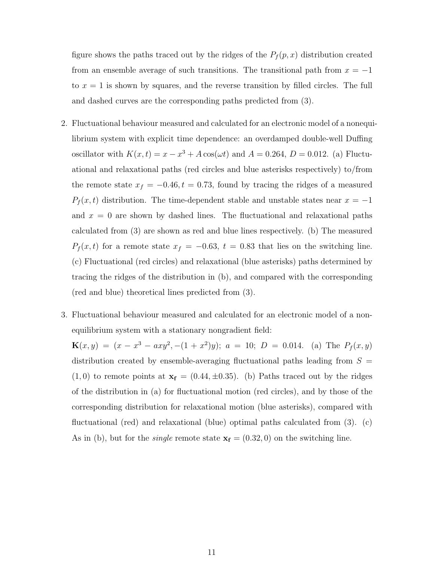figure shows the paths traced out by the ridges of the  $P_f(p,x)$  distribution created from an ensemble average of such transitions. The transitional path from  $x = -1$ to  $x = 1$  is shown by squares, and the reverse transition by filled circles. The full and dashed curves are the corresponding paths predicted from (3).

- 2. Fluctuational behaviour measured and calculated for an electronic model of a nonequilibrium system with explicit time dependence: an overdamped double-well Duffing oscillator with  $K(x,t) = x - x^3 + A\cos(\omega t)$  and  $A = 0.264$ ,  $D = 0.012$ . (a) Fluctuational and relaxational paths (red circles and blue asterisks respectively) to/from the remote state  $x_f = -0.46, t = 0.73$ , found by tracing the ridges of a measured  $P_f(x, t)$  distribution. The time-dependent stable and unstable states near  $x = -1$ and  $x = 0$  are shown by dashed lines. The fluctuational and relaxational paths calculated from (3) are shown as red and blue lines respectively. (b) The measured  $P_f(x,t)$  for a remote state  $x_f = -0.63$ ,  $t = 0.83$  that lies on the switching line. (c) Fluctuational (red circles) and relaxational (blue asterisks) paths determined by tracing the ridges of the distribution in (b), and compared with the corresponding (red and blue) theoretical lines predicted from (3).
- 3. Fluctuational behaviour measured and calculated for an electronic model of a nonequilibrium system with a stationary nongradient field:

 $\mathbf{K}(x,y) = (x - x^3 - axy^2, -(1 + x^2)y); a = 10; D = 0.014.$  (a) The  $P_f(x,y)$ distribution created by ensemble-averaging fluctuational paths leading from  $S =$  $(1, 0)$  to remote points at  $\mathbf{x_f} = (0.44, \pm 0.35)$ . (b) Paths traced out by the ridges of the distribution in (a) for fluctuational motion (red circles), and by those of the corresponding distribution for relaxational motion (blue asterisks), compared with fluctuational (red) and relaxational (blue) optimal paths calculated from (3). (c) As in (b), but for the *single* remote state  $\mathbf{x_f} = (0.32, 0)$  on the switching line.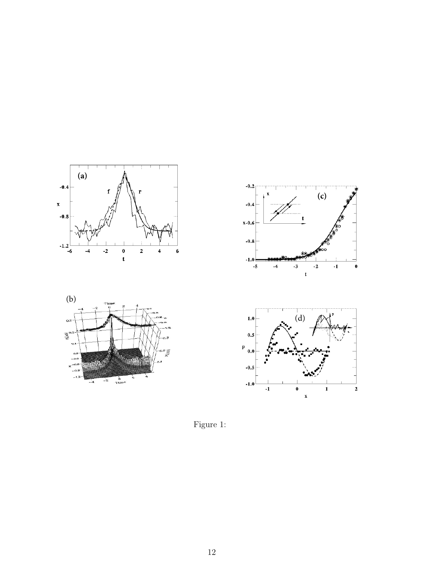







Figure 1: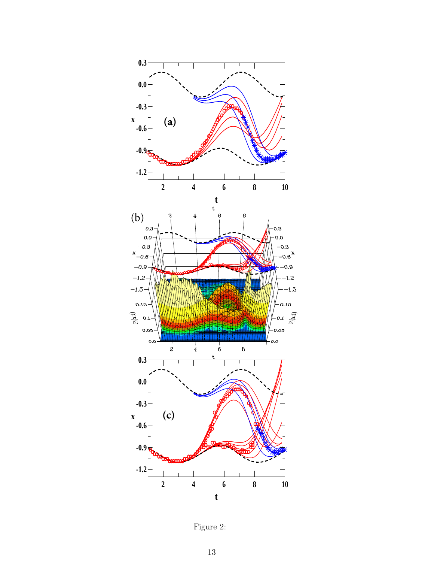

Figure 2: